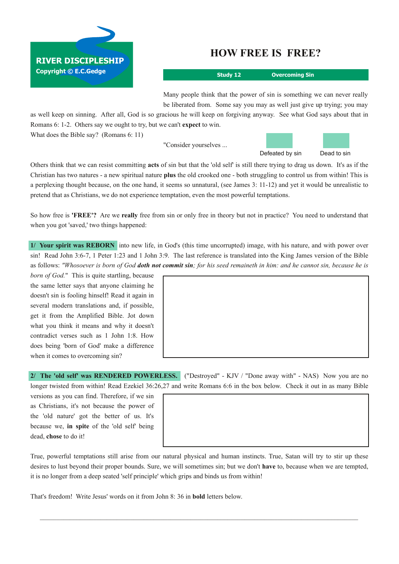## **HOW FREE IS FREE?**

**Study 12 Overcoming Sin**

Many people think that the power of sin is something we can never really be liberated from. Some say you may as well just give up trying; you may

as well keep on sinning. After all, God is so gracious he will keep on forgiving anyway. See what God says about that in Romans 6: 1-2. Others say we ought to try, but we can't **expect** to win. What does the Bible say? (Romans 6: 11)

"Consider yourselves ...



Others think that we can resist committing **acts** of sin but that the 'old self' is still there trying to drag us down. It's as if the Christian has two natures a new spiritual nature **plus** the old crooked one both struggling to control us from within! This is a perplexing thought because, on the one hand, it seems so unnatural, (see James 3: 1112) and yet it would be unrealistic to pretend that as Christians, we do not experience temptation, even the most powerful temptations.

So how free is **'FREE'?** Are we **really** free from sin or only free in theory but not in practice? You need to understand that when you got 'saved,' two things happened:

**1/ Your spirit was REBORN** into new life, in God's (this time uncorrupted) image, with his nature, and with power over sin! Read John 3:67, 1 Peter 1:23 and 1 John 3:9. The last reference is translated into the King James version of the Bible as follows: "Whosoever is born of God doth not commit sin; for his seed remaineth in him: and he cannot sin, because he is

*born of God.*" This is quite startling, because the same letter says that anyone claiming he doesn't sin is fooling hinself! Read it again in several modern translations and, if possible, get it from the Amplified Bible. Jot down what you think it means and why it doesn't contradict verses such as 1 John 1:8. How does being 'born of God' make a difference when it comes to overcoming sin?

**RIVER DISCIPLESHIP**

**Copyright © E.C.Gedge**

**2/ The 'old self' was RENDERED POWERLESS.** ("Destroyed" KJV / "Done away with" NAS) Now you are no longer twisted from within! Read Ezekiel 36:26,27 and write Romans 6:6 in the box below. Check it out in as many Bible

versions as you can find. Therefore, if we sin as Christians, it's not because the power of the 'old nature' got the better of us. It's because we, **in spite** of the 'old self' being dead, **chose** to do it!

True, powerful temptations still arise from our natural physical and human instincts. True, Satan will try to stir up these desires to lust beyond their proper bounds. Sure, we will sometimes sin; but we don't **have** to, because when we are tempted, it is no longer from a deep seated 'self principle' which grips and binds us from within!

 $\mathcal{L}_\mathcal{L} = \{ \mathcal{L}_\mathcal{L} = \{ \mathcal{L}_\mathcal{L} = \{ \mathcal{L}_\mathcal{L} = \{ \mathcal{L}_\mathcal{L} = \{ \mathcal{L}_\mathcal{L} = \{ \mathcal{L}_\mathcal{L} = \{ \mathcal{L}_\mathcal{L} = \{ \mathcal{L}_\mathcal{L} = \{ \mathcal{L}_\mathcal{L} = \{ \mathcal{L}_\mathcal{L} = \{ \mathcal{L}_\mathcal{L} = \{ \mathcal{L}_\mathcal{L} = \{ \mathcal{L}_\mathcal{L} = \{ \mathcal{L}_\mathcal{$ 

That's freedom! Write Jesus' words on it from John 8: 36 in **bold** letters below.